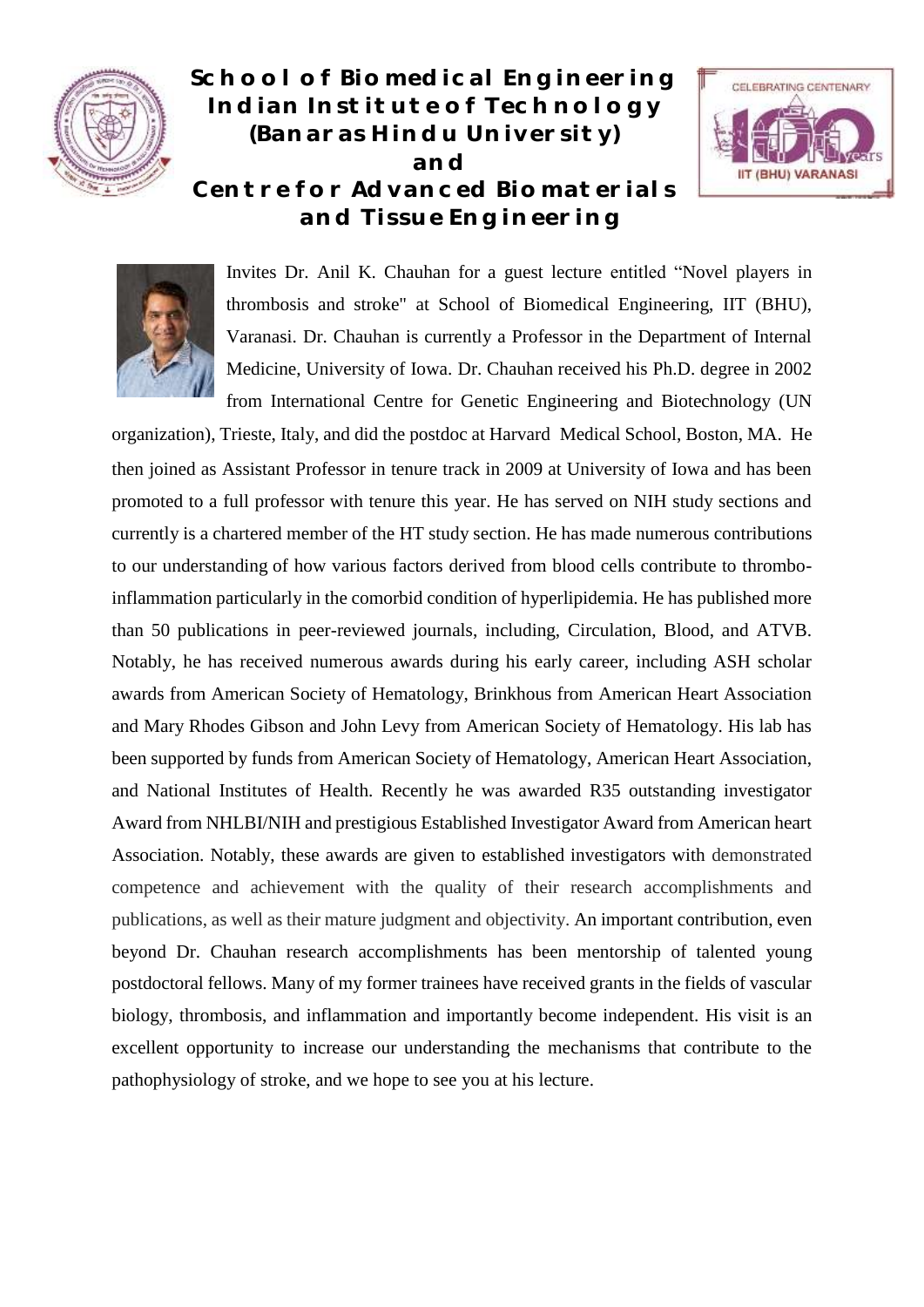

**School of Biomedical Engineering Indian Institute of Technology (Banaras Hindu University) and Centre for Advanced Biomaterials and Tissue Engineering**





Invites Dr. Anil K. Chauhan for a guest lecture entitled "Novel players in thrombosis and stroke" at School of Biomedical Engineering, IIT (BHU), Varanasi. Dr. Chauhan is currently a Professor in the Department of Internal Medicine, University of Iowa. Dr. Chauhan received his Ph.D. degree in 2002 from International Centre for Genetic Engineering and Biotechnology (UN

organization), Trieste, Italy, and did the postdoc at Harvard Medical School, Boston, MA. He then joined as Assistant Professor in tenure track in 2009 at University of Iowa and has been promoted to a full professor with tenure this year. He has served on NIH study sections and currently is a chartered member of the HT study section. He has made numerous contributions to our understanding of how various factors derived from blood cells contribute to thromboinflammation particularly in the comorbid condition of hyperlipidemia. He has published more than 50 publications in peer-reviewed journals, including, Circulation, Blood, and ATVB. Notably, he has received numerous awards during his early career, including ASH scholar awards from American Society of Hematology, Brinkhous from American Heart Association and Mary Rhodes Gibson and John Levy from American Society of Hematology. His lab has been supported by funds from American Society of Hematology, American Heart Association, and National Institutes of Health. Recently he was awarded R35 outstanding investigator Award from NHLBI/NIH and prestigious Established Investigator Award from American heart Association. Notably, these awards are given to established investigators with demonstrated competence and achievement with the quality of their research accomplishments and publications, as well as their mature judgment and objectivity. An important contribution, even beyond Dr. Chauhan research accomplishments has been mentorship of talented young postdoctoral fellows. Many of my former trainees have received grants in the fields of vascular biology, thrombosis, and inflammation and importantly become independent. His visit is an excellent opportunity to increase our understanding the mechanisms that contribute to the pathophysiology of stroke, and we hope to see you at his lecture.